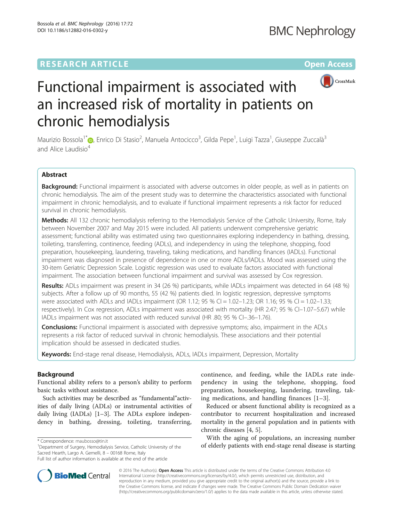## **RESEARCH ARTICLE External Structure Community Community Community Community Community Community Community Community**



# Functional impairment is associated with an increased risk of mortality in patients on chronic hemodialysis

Maurizio Bossola<sup>1\*</sup>©[,](http://orcid.org/0000-0003-1627-0235) Enrico Di Stasio<sup>2</sup>, Manuela Antocicco<sup>3</sup>, Gilda Pepe<sup>1</sup>, Luigi Tazza<sup>1</sup>, Giuseppe Zuccalà<sup>3</sup> and Alice Laudisio<sup>4</sup>

## Abstract

Background: Functional impairment is associated with adverse outcomes in older people, as well as in patients on chronic hemodialysis. The aim of the present study was to determine the characteristics associated with functional impairment in chronic hemodialysis, and to evaluate if functional impairment represents a risk factor for reduced survival in chronic hemodialysis.

Methods: All 132 chronic hemodialysis referring to the Hemodialysis Service of the Catholic University, Rome, Italy between November 2007 and May 2015 were included. All patients underwent comprehensive geriatric assessment; functional ability was estimated using two questionnaires exploring independency in bathing, dressing, toileting, transferring, continence, feeding (ADLs), and independency in using the telephone, shopping, food preparation, housekeeping, laundering, traveling, taking medications, and handling finances (IADLs). Functional impairment was diagnosed in presence of dependence in one or more ADLs/IADLs. Mood was assessed using the 30-item Geriatric Depression Scale. Logistic regression was used to evaluate factors associated with functional impairment. The association between functional impairment and survival was assessed by Cox regression.

Results: ADLs impairment was present in 34 (26 %) participants, while IADLs impairment was detected in 64 (48 %) subjects. After a follow up of 90 months, 55 (42 %) patients died. In logistic regression, depressive symptoms were associated with ADLs and IADLs impairment (OR 1.12; 95 % CI = 1.02-1.23; OR 1.16; 95 % CI = 1.02-1.33; respectively). In Cox regression, ADLs impairment was associated with mortality (HR 2.47; 95 % Cl-1.07-5.67) while IADLs impairment was not associated with reduced survival (HR .80; 95 % CI–.36–1.76).

**Conclusions:** Functional impairment is associated with depressive symptoms; also, impairment in the ADLs represents a risk factor of reduced survival in chronic hemodialysis. These associations and their potential implication should be assessed in dedicated studies.

Keywords: End-stage renal disease, Hemodialysis, ADLs, IADLs impairment, Depression, Mortality

## Background

Functional ability refers to a person's ability to perform basic tasks without assistance.

Such activities may be described as "fundamental"activities of daily living (ADLs) or instrumental activities of daily living (IADLs) [[1](#page-7-0)–[3](#page-7-0)]. The ADLs explore independency in bathing, dressing, toileting, transferring,



Reduced or absent functional ability is recognized as a contributor to recurrent hospitalization and increased mortality in the general population and in patients with chronic diseases [\[4, 5\]](#page-7-0).

With the aging of populations, an increasing number of elderly patients with the aging of populations, an increasing number<br>
<sup>1</sup>Department of Surgery. Hemodialysis Service. Catholic University of the **the station of elderly patients with end-stage renal disease is starting** 



© 2016 The Author(s). Open Access This article is distributed under the terms of the Creative Commons Attribution 4.0 International License [\(http://creativecommons.org/licenses/by/4.0/](http://creativecommons.org/licenses/by/4.0/)), which permits unrestricted use, distribution, and reproduction in any medium, provided you give appropriate credit to the original author(s) and the source, provide a link to the Creative Commons license, and indicate if changes were made. The Creative Commons Public Domain Dedication waiver [\(http://creativecommons.org/publicdomain/zero/1.0/](http://creativecommons.org/publicdomain/zero/1.0/)) applies to the data made available in this article, unless otherwise stated.

<sup>&</sup>lt;sup>1</sup>Department of Surgery, Hemodialysis Service, Catholic University of the Sacred Hearth, Largo A. Gemelli, 8 – 00168 Rome, Italy

Full list of author information is available at the end of the article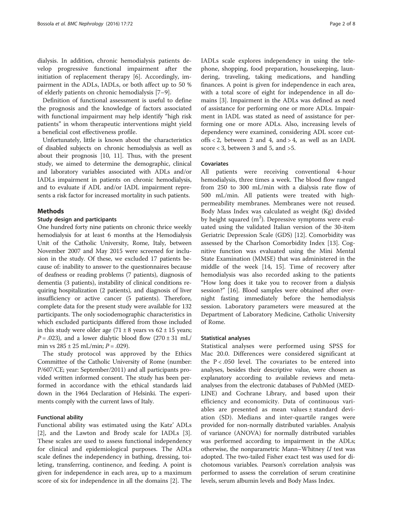dialysis. In addition, chronic hemodialysis patients develop progressive functional impairment after the initiation of replacement therapy [[6\]](#page-7-0). Accordingly, impairment in the ADLs, IADLs, or both affect up to 50 % of elderly patients on chronic hemodialysis [[7](#page-7-0)–[9](#page-7-0)].

Definition of functional assessment is useful to define the prognosis and the knowledge of factors associated with functional impairment may help identify "high risk patients" in whom therapeutic interventions might yield a beneficial cost effectiveness profile.

Unfortunately, little is known about the characteristics of disabled subjects on chronic hemodialysis as well as about their prognosis [\[10](#page-7-0), [11\]](#page-7-0). Thus, with the present study, we aimed to determine the demographic, clinical and laboratory variables associated with ADLs and/or IADLs impairment in patients on chronic hemodialysis, and to evaluate if ADL and/or IADL impairment represents a risk factor for increased mortality in such patients.

## Methods

#### Study design and participants

One hundred forty nine patients on chronic thrice weekly hemodialysis for at least 6 months at the Hemodialysis Unit of the Catholic University, Rome, Italy, between November 2007 and May 2015 were screened for inclusion in the study. Of these, we excluded 17 patients because of: inability to answer to the questionnaires because of deafness or reading problems (7 patients), diagnosis of dementia (3 patients), instability of clinical conditions requiring hospitalization (2 patients), and diagnosis of liver insufficiency or active cancer (5 patients). Therefore, complete data for the present study were available for 132 participants. The only sociodemographic characteristics in which excluded participants differed from those included in this study were older age  $(71 \pm 8 \text{ years})$  vears vs  $62 \pm 15$  years;  $P = .023$ ), and a lower dialytic blood flow  $(270 \pm 31 \text{ mL})$ min vs  $285 \pm 25$  mL/min;  $P = .029$ ).

The study protocol was approved by the Ethics Committee of the Catholic University of Rome (number: P/607/CE; year: September/2011) and all participants provided written informed consent. The study has been performed in accordance with the ethical standards laid down in the 1964 Declaration of Helsinki. The experiments comply with the current laws of Italy.

## Functional ability

Functional ability was estimated using the Katz' ADLs [[2\]](#page-7-0), and the Lawton and Brody scale for IADLs [\[3](#page-7-0)]. These scales are used to assess functional independency for clinical and epidemiological purposes. The ADLs scale defines the independency in bathing, dressing, toileting, transferring, continence, and feeding. A point is given for independence in each area, up to a maximum score of six for independence in all the domains [\[2\]](#page-7-0). The IADLs scale explores independency in using the telephone, shopping, food preparation, housekeeping, laundering, traveling, taking medications, and handling finances. A point is given for independence in each area, with a total score of eight for independence in all domains [[3](#page-7-0)]. Impairment in the ADLs was defined as need of assistance for performing one or more ADLs. Impairment in IADL was stated as need of assistance for performing one or more ADLs. Also, increasing levels of dependency were examined, considering ADL score cutoffs < 2, between 2 and 4, and > 4, as well as an IADL score < 3, between 3 and 5, and >5.

#### Covariates

All patients were receiving conventional 4-hour hemodialysis, three times a week. The blood flow ranged from 250 to 300 mL/min with a dialysis rate flow of 500 mL/min. All patients were treated with highpermeability membranes. Membranes were not reused. Body Mass Index was calculated as weight (Kg) divided by height squared  $(m^2)$ . Depressive symptoms were evaluated using the validated Italian version of the 30-item Geriatric Depression Scale (GDS) [[12\]](#page-7-0). Comorbidity was assessed by the Charlson Comorbidity Index [\[13](#page-7-0)]. Cognitive function was evaluated using the Mini Mental State Examination (MMSE) that was administered in the middle of the week [\[14, 15\]](#page-7-0). Time of recovery after hemodialysis was also recorded asking to the patients "How long does it take you to recover from a dialysis session?" [\[16\]](#page-7-0). Blood samples were obtained after overnight fasting immediately before the hemodialysis session. Laboratory parameters were measured at the Department of Laboratory Medicine, Catholic University of Rome.

## Statistical analyses

Statistical analyses were performed using SPSS for Mac 20.0. Differences were considered significant at the  $P < .050$  level. The covariates to be entered into analyses, besides their descriptive value, were chosen as explanatory according to available reviews and metaanalyses from the electronic databases of PubMed (MED-LINE) and Cochrane Library, and based upon their efficiency and economicity. Data of continuous variables are presented as mean values ± standard deviation (SD). Medians and inter-quartile ranges were provided for non-normally distributed variables. Analysis of variance (ANOVA) for normally distributed variables was performed according to impairment in the ADLs; otherwise, the nonparametric Mann-Whitney  $U$  test was adopted. The two-tailed Fisher exact test was used for dichotomous variables. Pearson's correlation analysis was performed to assess the correlation of serum creatinine levels, serum albumin levels and Body Mass Index.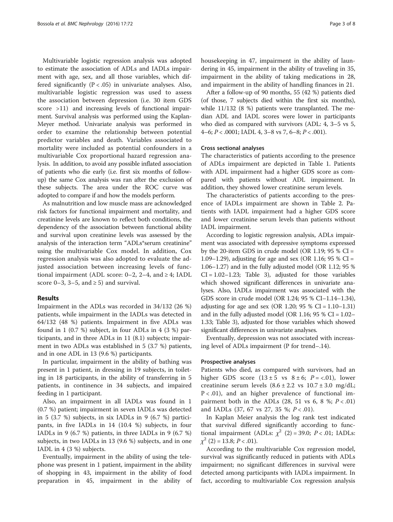Multivariable logistic regression analysis was adopted to estimate the association of ADLs and IADLs impairment with age, sex, and all those variables, which differed significantly  $(P < .05)$  in univariate analyses. Also, multivariable logistic regression was used to assess the association between depression (i.e. 30 item GDS score >11) and increasing levels of functional impairment. Survival analysis was performed using the Kaplan-Meyer method. Univariate analysis was performed in order to examine the relationship between potential predictor variables and death. Variables associated to mortality were included as potential confounders in a multivariable Cox proportional hazard regression analysis. In addition, to avoid any possible inflated association of patients who die early (i.e. first six months of followup) the same Cox analysis was ran after the exclusion of these subjects. The area under the ROC curve was adopted to compare if and how the models perform.

As malnutrition and low muscle mass are acknowledged risk factors for functional impairment and mortality, and creatinine levels are known to reflect both conditions, the dependency of the association between functional ability and survival upon creatinine levels was assessed by the analysis of the interaction term "ADLs\*serum creatinine" using the multivariable Cox model. In addition, Cox regression analysis was also adopted to evaluate the adjusted association between increasing levels of functional impairment (ADL score:  $0-2$ ,  $2-4$ , and  $\geq 4$ ; IADL score 0–3, 3–5, and  $\geq$  5) and survival.

## Results

Impairment in the ADLs was recorded in 34/132 (26 %) patients, while impairment in the IADLs was detected in 64/132 (48 %) patients. Impairment in five ADLs was found in 1 (0.7 %) subject, in four ADLs in 4 (3 %) participants, and in three ADLs in 11 (8.1) subjects; impairment in two ADLs was established in 5 (3.7 %) patients, and in one ADL in 13 (9.6 %) participants.

In particular, impairment in the ability of bathing was present in 1 patient, in dressing in 19 subjects, in toileting in 18 participants, in the ability of transferring in 5 patients, in continence in 34 subjects, and impaired feeding in 1 participant.

Also, an impairment in all IADLs was found in 1 (0.7 %) patient; impairment in seven IADLs was detected in 5 (3.7 %) subjects, in six IADLs in 9 (6.7 %) participants, in five IADLs in 14 (10.4 %) subjects, in four IADLs in 9 (6.7 %) patients, in three IADLs in 9 (6.7 %) subjects, in two IADLs in 13 (9.6 %) subjects, and in one IADL in 4 (3 %) subjects.

Eventually, impairment in the ability of using the telephone was present in 1 patient, impairment in the ability of shopping in 43, impairment in the ability of food preparation in 45, impairment in the ability of housekeeping in 47, impairment in the ability of laundering in 45, impairment in the ability of traveling in 35, impairment in the ability of taking medications in 28, and impairment in the ability of handling finances in 21.

After a follow-up of 90 months, 55 (42 %) patients died (of those, 7 subjects died within the first six months), while 11/132 (8 %) patients were transplanted. The median ADL and IADL scores were lower in participants who died as compared with survivors (ADL: 4, 3–5 vs 5,  $4-6$ ;  $P < .0001$ ; IADL 4, 3-8 vs 7, 6-8;  $P < .001$ ).

#### Cross sectional analyses

The characteristics of patients according to the presence of ADLs impairment are depicted in Table [1](#page-3-0). Patients with ADL impairment had a higher GDS score as compared with patients without ADL impairment. In addition, they showed lower creatinine serum levels.

The characteristics of patients according to the presence of IADLs impairment are shown in Table [2](#page-3-0). Patients with IADL impairment had a higher GDS score and lower creatinine serum levels than patients without IADL impairment.

According to logistic regression analysis, ADLs impairment was associated with depressive symptoms expressed by the 20-item GDS in crude model (OR 1.19;  $95\%$  CI = 1.09–1.29), adjusting for age and sex (OR 1.16; 95 % CI = 1.06–1.27) and in the fully adjusted model (OR 1.12; 95 %  $CI = 1.02 - 1.23$ ; Table [3](#page-4-0)), adjusted for those variables which showed significant differences in univariate analyses. Also, IADLs impairment was associated with the GDS score in crude model (OR 1.24; 95 % CI–1.14–1.34), adjusting for age and sex (OR 1.20;  $95 \%$  CI = 1.10–1.31) and in the fully adjusted model (OR 1.16;  $95\%$  CI = 1.02– 1.33; Table [3](#page-4-0)), adjusted for those variables which showed significant differences in univariate analyses.

Eventually, depression was not associated with increasing level of ADLs impairment (P for trend–.14).

#### Prospective analyses

Patients who died, as compared with survivors, had an higher GDS score  $(13 \pm 5 \text{ vs } 8 \pm 6; P = <.01)$ , lower creatinine serum levels  $(8.6 \pm 2.2 \text{ vs } 10.7 \pm 3.0 \text{ mg/dL})$  $P < .01$ ), and an higher prevalence of functional impairment both in the ADLs  $(28, 51 \text{ vs } 6, 8 \text{ %}; P < .01)$ and IADLs (37, 67 vs 27, 35 %;  $P < .01$ ).

In Kaplan Meier analysis the log rank test indicated that survival differed significantly according to functional impairment (ADLs:  $\chi^2$  (2) = 39.0; P < .01; IADLs:  $\chi^2$  (2) = 13.8; P < .01).

According to the multivariable Cox regression model, survival was significantly reduced in patients with ADLs impairment; no significant differences in survival were detected among participants with IADLs impairment. In fact, according to multivariable Cox regression analysis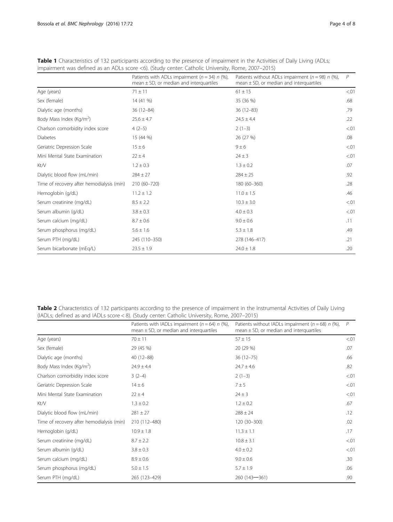|                                           | Patients with ADLs impairment ( $n = 34$ ) n (%),<br>mean $\pm$ SD, or median and interquartiles | Patients without ADLs impairment ( $n = 98$ ) n (%),<br>mean $\pm$ SD, or median and interquartiles | $\overline{P}$ |  |
|-------------------------------------------|--------------------------------------------------------------------------------------------------|-----------------------------------------------------------------------------------------------------|----------------|--|
| Age (years)                               | $71 \pm 11$                                                                                      | $61 \pm 15$                                                                                         | < 01           |  |
| Sex (female)                              | 14 (41 %)                                                                                        | 35 (36 %)                                                                                           | .68            |  |
| Dialytic age (months)                     | $36(12-84)$                                                                                      | $36(12-83)$                                                                                         | .79            |  |
| Body Mass Index (Kg/m <sup>2</sup> )      | $25.6 \pm 4.7$                                                                                   | $24.5 \pm 4.4$                                                                                      | .22            |  |
| Charlson comorbidity index score          | $4(2-5)$                                                                                         | $2(1-3)$                                                                                            | < 01           |  |
| <b>Diabetes</b>                           | 15 (44 %)                                                                                        | 26 (27 %)                                                                                           | .08            |  |
| Geriatric Depression Scale                | $15 \pm 6$                                                                                       | $9 \pm 6$                                                                                           | < 01           |  |
| Mini Mental State Examination             | $22 \pm 4$                                                                                       | $24 \pm 3$                                                                                          | < 01           |  |
| Kt/V                                      | $1.2 \pm 0.3$                                                                                    | $1.3 \pm 0.2$                                                                                       | .07            |  |
| Dialytic blood flow (mL/min)              | $284 \pm 27$                                                                                     | $284 \pm 25$                                                                                        | .92            |  |
| Time of recovery after hemodialysis (min) | 210 (60-720)                                                                                     | 180 (60-360)                                                                                        | .28            |  |
| Hemoglobin (g/dL)                         | $11.2 \pm 1.2$                                                                                   | $11.0 \pm 1.5$                                                                                      | .46            |  |
| Serum creatinine (mg/dL)                  | $8.5 \pm 2.2$                                                                                    | $10.3 \pm 3.0$                                                                                      | < 01           |  |
| Serum albumin (g/dL)                      | $3.8 \pm 0.3$                                                                                    | $4.0 \pm 0.3$                                                                                       | < 01           |  |
| Serum calcium (mg/dL)                     | $8.7 \pm 0.6$                                                                                    | $9.0 \pm 0.6$                                                                                       | .11            |  |
| Serum phosphorus (mg/dL)                  | $5.6 \pm 1.6$                                                                                    | $5.3 \pm 1.8$                                                                                       | .49            |  |
| Serum PTH (mg/dL)                         | 245 (110-350)                                                                                    | 278 (146-417)                                                                                       | .21            |  |
| Serum bicarbonate (mEq/L)                 | $23.5 \pm 1.9$                                                                                   | $24.0 \pm 1.8$                                                                                      | .20            |  |

<span id="page-3-0"></span>Table 1 Characteristics of 132 participants according to the presence of impairment in the Activities of Daily Living (ADLs; impairment was defined as an ADLs score <6). (Study center: Catholic University, Rome, 2007–2015)

Table 2 Characteristics of 132 participants according to the presence of impairment in the Instrumental Activities of Daily Living (IADLs; defined as and IADLs score < 8). (Study center: Catholic University, Rome, 2007–2015)

|                                           | Patients with IADLs impairment ( $n = 64$ ) n (%),<br>mean $\pm$ SD, or median and interquartiles | Patients without IADLs impairment ( $n = 68$ ) n (%),<br>mean $\pm$ SD, or median and interquartiles | P      |
|-------------------------------------------|---------------------------------------------------------------------------------------------------|------------------------------------------------------------------------------------------------------|--------|
| Age (years)                               | $70 \pm 11$                                                                                       | $57 \pm 15$                                                                                          | < 0.01 |
| Sex (female)                              | 29 (45 %)                                                                                         | 20 (29 %)                                                                                            | .07    |
| Dialytic age (months)                     | $40(12 - 88)$                                                                                     | $36(12 - 75)$                                                                                        | .66    |
| Body Mass Index (Kg/m <sup>2</sup> )      | $24.9 \pm 4.4$                                                                                    | $24.7 \pm 4.6$                                                                                       | .82    |
| Charlson comorbidity index score          | $3(2-4)$                                                                                          | $2(1-3)$                                                                                             | < 0.01 |
| Geriatric Depression Scale                | $14 \pm 6$                                                                                        | $7 \pm 5$                                                                                            | < 01   |
| Mini Mental State Examination             | $22 \pm 4$                                                                                        | $24 \pm 3$                                                                                           | < 01   |
| Kt/V                                      | $1.3 \pm 0.2$                                                                                     | $1.2 \pm 0.2$                                                                                        | .67    |
| Dialytic blood flow (mL/min)              | $281 \pm 27$                                                                                      | $288 \pm 24$                                                                                         | .12    |
| Time of recovery after hemodialysis (min) | 210 (112-480)                                                                                     | 120 (30-300)                                                                                         | .02    |
| Hemoglobin (g/dL)                         | $10.9 \pm 1.8$                                                                                    | $11.3 \pm 1.1$                                                                                       | .17    |
| Serum creatinine (mg/dL)                  | $8.7 \pm 2.2$                                                                                     | $10.8 \pm 3.1$                                                                                       | < 01   |
| Serum albumin (g/dL)                      | $3.8 \pm 0.3$                                                                                     | $4.0 \pm 0.2$                                                                                        | < 01   |
| Serum calcium (mg/dL)                     | $8.9 \pm 0.6$                                                                                     | $9.0 \pm 0.6$                                                                                        | .30    |
| Serum phosphorus (mg/dL)                  | $5.0 \pm 1.5$                                                                                     | $5.7 \pm 1.9$                                                                                        | .06    |
| Serum PTH (mg/dL)                         | 265 (123-429)                                                                                     | 260 (143-361)                                                                                        | .90    |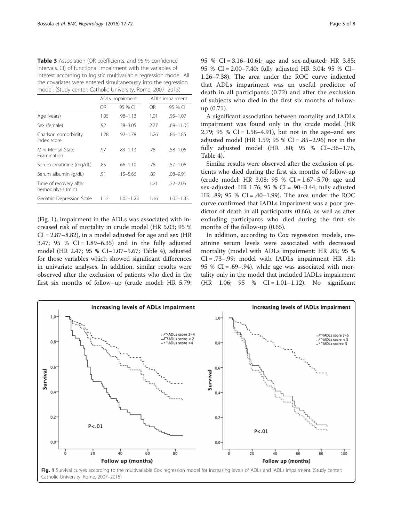<span id="page-4-0"></span>

| <b>Table 3</b> Association (OR coefficients, and 95 % confidence   |
|--------------------------------------------------------------------|
| intervals, CI) of functional impairment with the variables of      |
| interest according to logistic multivariable regression model. All |
| the covariates were entered simultaneously into the regression     |
| model. (Study center: Catholic University, Rome, 2007-2015)        |

|                                              | ADLs impairment |               | IADLs impairment |               |
|----------------------------------------------|-----------------|---------------|------------------|---------------|
|                                              | OR              | 95 % CI       | OR.              | 95 % CI       |
| Age (years)                                  | 1.05            | $.98 - 1.13$  | 1.01             | $.95 - 1.07$  |
| Sex (female)                                 | .92             | $.28 - 3.05$  | 2.77             | $.69 - 11.05$ |
| Charlson comorbidity<br>index score          | 1.28            | $.92 - 1.78$  | 1 26             | $.86 - 1.85$  |
| Mini Mental State<br><b>Examination</b>      | .97             | $.83 - 1.13$  | .78              | $.58 - 1.06$  |
| Serum creatinine (mg/dL)                     | .85             | $.66 - 1.10$  | .78              | $.57 - 1.06$  |
| Serum albumin (g/dL)                         | .91             | $.15 - 5.66$  | .89              | $.08 - 9.91$  |
| Time of recovery after<br>hemodialysis (min) |                 |               | 1.21             | $.72 - 2.05$  |
| Geriatric Depression Scale                   | 1.12            | $1.02 - 1.23$ | 1.16             | $1.02 - 1.33$ |

(Fig. 1), impairment in the ADLs was associated with increased risk of mortality in crude model (HR 5.03; 95 %  $CI = 2.87 - 8.82$ ), in a model adjusted for age and sex (HR 3.47; 95 % CI = 1.89–6.35) and in the fully adjusted model (HR 2.47; 95 % CI–1.07–5.67; Table [4](#page-5-0)), adjusted for those variables which showed significant differences in univariate analyses. In addition, similar results were observed after the exclusion of patients who died in the first six months of follow–up (crude model: HR 5.79; 95 % CI = 3.16–10.61; age and sex-adjusted: HR 3.85; 95 % CI = 2.00–7.40; fully adjusted HR 3.04; 95 % CI– 1.26–7.38). The area under the ROC curve indicated that ADLs impariment was an useful predictor of death in all participants (0.72) and after the exclusion of subjects who died in the first six months of followup (0.71).

A significant association between mortality and IADLs impairment was found only in the crude model (HR 2.79; 95 % CI =  $1.58-4.91$ ), but not in the age–and sex adjusted model (HR 1.59; 95 % CI = .85–2.96) nor in the fully adjusted model (HR .80; 95 % CI–.36–1.76, Table [4\)](#page-5-0).

Similar results were observed after the exclusion of patients who died during the first six months of follow-up (crude model: HR 3.08; 95 % CI = 1.67–5.70; age and sex-adjusted: HR 1.76; 95 % CI = .90–3.44; fully adjusted HR .89; 95 % CI = .40–1.99). The area under the ROC curve confirmed that IADLs impariment was a poor predictor of death in all participants (0.66), as well as after excluding participants who died during the first six months of the follow-up (0.65).

In addition, according to Cox regression models, creatinine serum levels were associated with decreased mortality (model with ADLs impairment: HR .85; 95 % CI = .73–.99; model with IADLs impairment HR .81; 95 % CI = .69–.94), while age was associated with mortality only in the model that included IADLs impairment  $(HR \t1.06; 95 % CI = 1.01-1.12)$ . No significant

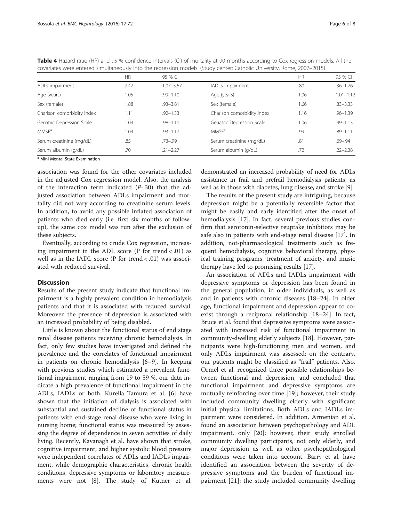<span id="page-5-0"></span>

| Table 4 Hazard ratio (HR) and 95 % confidence intervals (CI) of mortality at 90 months according to Cox regression models. All the |
|------------------------------------------------------------------------------------------------------------------------------------|
| covariates were entered simultaneously into the regression models. (Study center: Catholic University, Rome, 2007–2015)            |

|                            | <b>HR</b> | 95 % CI       |                            | <b>HR</b> | 95 % CI       |
|----------------------------|-----------|---------------|----------------------------|-----------|---------------|
| ADLs impairment            | 2.47      | $1.07 - 5.67$ | IADLs impairment           | .80       | $.36 - 1.76$  |
| Age (years)                | 1.05      | $.99 - 1.10$  | Age (years)                | 1.06      | $1.01 - 1.12$ |
| Sex (female)               | 1.88      | $.93 - 3.81$  | Sex (female)               | 1.66      | $.83 - 3.33$  |
| Charlson comorbidity index | 1.11      | $.92 - 1.33$  | Charlson comorbidity index | 1.16      | $.96 - 1.39$  |
| Geriatric Depression Scale | 1.04      | $.98 - 1.11$  | Geriatric Depression Scale | 1.06      | $.99 - 1.13$  |
| <b>MMSE</b> <sup>a</sup>   | 1.04      | $.93 - 1.17$  | MMSE <sup>a</sup>          | .99       | $.89 - 1.11$  |
| Serum creatinine (mg/dL)   | .85       | $.73 - .99$   | Serum creatinine (mg/dL)   | .81       | $.69 - .94$   |
| Serum albumin (g/dL)       | .70       | $.21 - 2.27$  | Serum albumin (g/dL)       | .72       | $.22 - 2.38$  |

<sup>a</sup> Mini Mental State Examination

association was found for the other covariates included in the adjusted Cox regression model. Also, the analysis of the interaction term indicated  $(P-.30)$  that the adjusted association between ADLs impairment and mortality did not vary according to creatinine serum levels. In addition, to avoid any possible inflated association of patients who died early (i.e. first six months of followup), the same cox model was run after the exclusion of these subjects.

Eventually, according to crude Cox regression, increasing impairment in the ADL score ( $P$  for trend < .01) as well as in the IADL score (P for trend  $< .01$ ) was associated with reduced survival.

## Discussion

Results of the present study indicate that functional impairment is a highly prevalent condition in hemodialysis patients and that it is associated with reduced survival. Moreover, the presence of depression is associated with an increased probability of being disabled.

Little is known about the functional status of end stage renal disease patients receiving chronic hemodialysis. In fact, only few studies have investigated and defined the prevalence and the correlates of functional impairment in patients on chronic hemodialysis [\[6](#page-7-0)–[9\]](#page-7-0). In keeping with previous studies which estimated a prevalent functional impairment ranging from 19 to 59 %, our data indicate a high prevalence of functional impairment in the ADLs, IADLs or both. Kurella Tamura et al. [[6\]](#page-7-0) have shown that the initiation of dialysis is associated with substantial and sustained decline of functional status in patients with end-stage renal disease who were living in nursing home; functional status was measured by assessing the degree of dependence in seven activities of daily living. Recently, Kavanagh et al. have shown that stroke, cognitive impairment, and higher systolic blood pressure were independent correlates of ADLs and IADLs impairment, while demographic characteristics, chronic health conditions, depressive symptoms or laboratory measurements were not [[8](#page-7-0)]. The study of Kutner et al.

demonstrated an increased probability of need for ADLs assistance in frail and prefrail hemodialysis patients, as well as in those with diabetes, lung disease, and stroke [[9](#page-7-0)].

The results of the present study are intriguing, because depression might be a potentially reversible factor that might be easily and early identified after the onset of hemodialysis [\[17\]](#page-7-0). In fact, several previous studies confirm that serotonin-selective reuptake inhibitors may be safe also in patients with end-stage renal disease [\[17](#page-7-0)]. In addition, not-pharmacological treatments such as frequent hemodialysis, cognitive behavioral therapy, physical training programs, treatment of anxiety, and music therapy have led to promising results [\[17\]](#page-7-0).

An association of ADLs and IADLs impairment with depressive symptoms or depression has been found in the general population, in older individuals, as well as and in patients with chronic diseases [[18](#page-7-0)–[24](#page-7-0)]. In older age, functional impairment and depression appear to coexist through a reciprocal relationship [\[18](#page-7-0)–[24](#page-7-0)]. In fact, Bruce et al. found that depressive symptoms were associated with increased risk of functional impairment in community-dwelling elderly subjects [\[18\]](#page-7-0). However, participants were high-functioning men and women, and only ADLs impairment was assessed; on the contrary, our patients might be classified as "frail" patients. Also, Ormel et al. recognized three possible relationships between functional and depression, and concluded that functional impairment and depressive symptoms are mutually reinforcing over time [\[19](#page-7-0)]; however, their study included community dwelling elderly with significant initial physical limitations. Both ADLs and IADLs impairment were considered. In addition, Armenian et al. found an association between psychopathology and ADL impairment, only [[20\]](#page-7-0); however, their study enrolled community dwelling participants, not only elderly, and major depression as well as other psychopathological conditions were taken into account. Barry et al. have identified an association between the severity of depressive symptoms and the burden of functional impairment [[21\]](#page-7-0); the study included community dwelling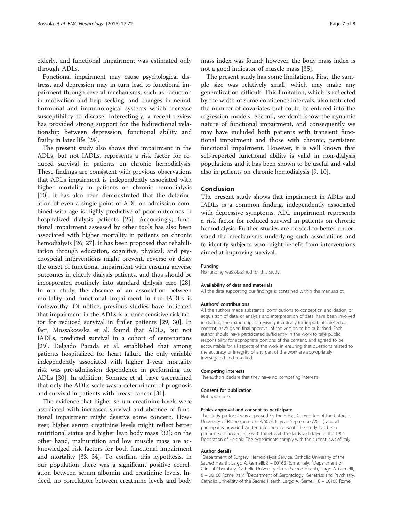elderly, and functional impairment was estimated only through ADLs.

Functional impairment may cause psychological distress, and depression may in turn lead to functional impairment through several mechanisms, such as reduction in motivation and help seeking, and changes in neural, hormonal and immunological systems which increase susceptibility to disease. Interestingly, a recent review has provided strong support for the bidirectional relationship between depression, functional ability and frailty in later life [\[24\]](#page-7-0).

The present study also shows that impairment in the ADLs, but not IADLs, represents a risk factor for reduced survival in patients on chronic hemodialysis. These findings are consistent with previous observations that ADLs impairment is independently associated with higher mortality in patients on chronic hemodialysis [[10\]](#page-7-0). It has also been demonstrated that the deterioration of even a single point of ADL on admission combined with age is highly predictive of poor outcomes in hospitalized dialysis patients [\[25](#page-7-0)]. Accordingly, functional impairment assessed by other tools has also been associated with higher mortality in patients on chronic hemodialysis [\[26, 27\]](#page-7-0). It has been proposed that rehabilitation through education, cognitive, physical, and psychosocial interventions might prevent, reverse or delay the onset of functional impairment with ensuing adverse outcomes in elderly dialysis patients, and thus should be incorporated routinely into standard dialysis care [\[28](#page-7-0)]. In our study, the absence of an association between mortality and functional impairment in the IADLs is noteworthy. Of notice, previous studies have indicated that impairment in the ADLs is a more sensitive risk factor for reduced survival in frailer patients [\[29](#page-7-0), [30\]](#page-7-0). In fact, Mossakowska et al. found that ADLs, but not IADLs, predicted survival in a cohort of centenarians [[29\]](#page-7-0). Delgado Parada et al. established that among patients hospitalized for heart failure the only variable independently associated with higher 1-year mortality risk was pre-admission dependence in performing the ADLs [[30](#page-7-0)]. In addition, Sonmez et al. have ascertained that only the ADLs scale was a determinant of prognosis and survival in patients with breast cancer [\[31](#page-7-0)].

The evidence that higher serum creatinine levels were associated with increased survival and absence of functional impairment might deserve some concern. However, higher serum creatinine levels might reflect better nutritional status and higher lean body mass [[32\]](#page-7-0); on the other hand, malnutrition and low muscle mass are acknowledged risk factors for both functional impairment and mortality [[33, 34\]](#page-7-0). To confirm this hypothesis, in our population there was a significant positive correlation between serum albumin and creatinine levels. Indeed, no correlation between creatinine levels and body mass index was found; however, the body mass index is not a good indicator of muscle mass [\[35\]](#page-7-0).

The present study has some limitations. First, the sample size was relatively small, which may make any generalization difficult. This limitation, which is reflected by the width of some confidence intervals, also restricted the number of covariates that could be entered into the regression models. Second, we don't know the dynamic nature of functional impairment, and consequently we may have included both patients with transient functional impairment and those with chronic, persistent functional impairment. However, it is well known that self-reported functional ability is valid in non-dialysis populations and it has been shown to be useful and valid also in patients on chronic hemodialysis [\[9](#page-7-0), [10](#page-7-0)].

## Conclusion

The present study shows that impairment in ADLs and IADLs is a common finding, independently associated with depressive symptoms. ADL impairment represents a risk factor for reduced survival in patients on chronic hemodialysis. Further studies are needed to better understand the mechanisms underlying such associations and to identify subjects who might benefit from interventions aimed at improving survival.

#### Funding

No funding was obtained for this study.

#### Availability of data and materials

All the data supporting our findings is contained within the manuscript.

#### Authors' contributions

All the authors made substantial contributions to conception and design, or acquisition of data, or analysis and interpretation of data; have been involved in drafting the manuscript or revising it critically for important intellectual content; have given final approval of the version to be published. Each author should have participated sufficiently in the work to take public responsibility for appropriate portions of the content; and agreed to be accountable for all aspects of the work in ensuring that questions related to the accuracy or integrity of any part of the work are appropriately investigated and resolved.

#### Competing interests

The authors declare that they have no competing interests.

## Consent for publication

Not applicable.

#### Ethics approval and consent to participate

The study protocol was approved by the Ethics Committee of the Catholic University of Rome (number: P/607/CE; year: September/2011) and all participants provided written informed consent. The study has been performed in accordance with the ethical standards laid down in the 1964 Declaration of Helsinki. The experiments comply with the current laws of Italy.

#### Author details

<sup>1</sup>Department of Surgery, Hemodialysis Service, Catholic University of the Sacred Hearth, Largo A. Gemelli, 8 - 00168 Rome, Italy. <sup>2</sup>Department of Clinical Chemistry, Catholic University of the Sacred Hearth, Largo A. Gemelli, 8 - 00168 Rome, Italy. <sup>3</sup>Department of Gerontology, Geriatrics and Psychiatry, Catholic University of the Sacred Hearth, Largo A. Gemelli, 8 – 00168 Rome,